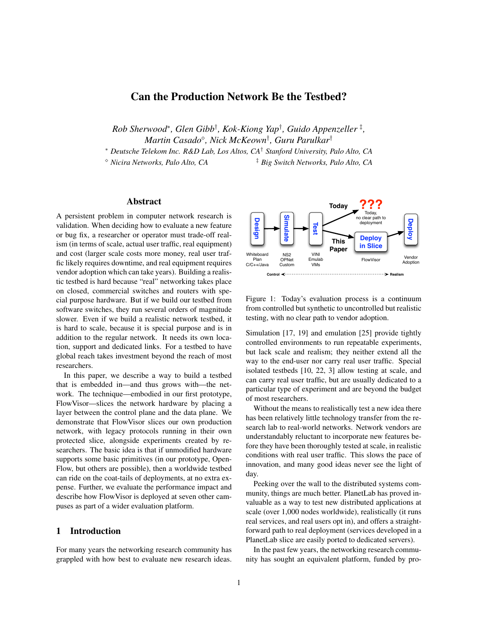# Can the Production Network Be the Testbed?

*Rob Sherwood*<sup>∗</sup> *, Glen Gibb*† *, Kok-Kiong Yap*† *, Guido Appenzeller* ‡ *, Martin Casado , Nick McKeown*† *, Guru Parulkar*†

<sup>∗</sup> *Deutsche Telekom Inc. R&D Lab, Los Altos, CA*† *Stanford University, Palo Alto, CA*

*Nicira Networks, Palo Alto, CA* ‡ *Big Switch Networks, Palo Alto, CA*

# Abstract

A persistent problem in computer network research is validation. When deciding how to evaluate a new feature or bug fix, a researcher or operator must trade-off realism (in terms of scale, actual user traffic, real equipment) and cost (larger scale costs more money, real user traffic likely requires downtime, and real equipment requires vendor adoption which can take years). Building a realistic testbed is hard because "real" networking takes place on closed, commercial switches and routers with special purpose hardware. But if we build our testbed from software switches, they run several orders of magnitude slower. Even if we build a realistic network testbed, it is hard to scale, because it is special purpose and is in addition to the regular network. It needs its own location, support and dedicated links. For a testbed to have global reach takes investment beyond the reach of most researchers.

In this paper, we describe a way to build a testbed that is embedded in—and thus grows with—the network. The technique—embodied in our first prototype, FlowVisor—slices the network hardware by placing a layer between the control plane and the data plane. We demonstrate that FlowVisor slices our own production network, with legacy protocols running in their own protected slice, alongside experiments created by researchers. The basic idea is that if unmodified hardware supports some basic primitives (in our prototype, Open-Flow, but others are possible), then a worldwide testbed can ride on the coat-tails of deployments, at no extra expense. Further, we evaluate the performance impact and describe how FlowVisor is deployed at seven other campuses as part of a wider evaluation platform.

# 1 Introduction

For many years the networking research community has grappled with how best to evaluate new research ideas.



<span id="page-0-0"></span>Figure 1: Today's evaluation process is a continuum from controlled but synthetic to uncontrolled but realistic testing, with no clear path to vendor adoption.

Simulation [\[17,](#page-13-0) [19\]](#page-13-1) and emulation [\[25\]](#page-13-2) provide tightly controlled environments to run repeatable experiments, but lack scale and realism; they neither extend all the way to the end-user nor carry real user traffic. Special isolated testbeds [\[10,](#page-13-3) [22,](#page-13-4) [3\]](#page-13-5) allow testing at scale, and can carry real user traffic, but are usually dedicated to a particular type of experiment and are beyond the budget of most researchers.

Without the means to realistically test a new idea there has been relatively little technology transfer from the research lab to real-world networks. Network vendors are understandably reluctant to incorporate new features before they have been thoroughly tested at scale, in realistic conditions with real user traffic. This slows the pace of innovation, and many good ideas never see the light of day.

Peeking over the wall to the distributed systems community, things are much better. PlanetLab has proved invaluable as a way to test new distributed applications at scale (over 1,000 nodes worldwide), realistically (it runs real services, and real users opt in), and offers a straightforward path to real deployment (services developed in a PlanetLab slice are easily ported to dedicated servers).

In the past few years, the networking research community has sought an equivalent platform, funded by pro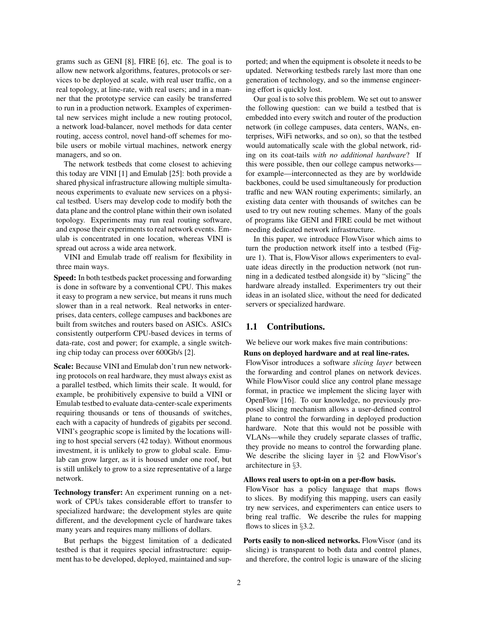grams such as GENI [\[8\]](#page-13-6), FIRE [\[6\]](#page-13-7), etc. The goal is to allow new network algorithms, features, protocols or services to be deployed at scale, with real user traffic, on a real topology, at line-rate, with real users; and in a manner that the prototype service can easily be transferred to run in a production network. Examples of experimental new services might include a new routing protocol, a network load-balancer, novel methods for data center routing, access control, novel hand-off schemes for mobile users or mobile virtual machines, network energy managers, and so on.

The network testbeds that come closest to achieving this today are VINI [\[1\]](#page-12-0) and Emulab [\[25\]](#page-13-2): both provide a shared physical infrastructure allowing multiple simultaneous experiments to evaluate new services on a physical testbed. Users may develop code to modify both the data plane and the control plane within their own isolated topology. Experiments may run real routing software, and expose their experiments to real network events. Emulab is concentrated in one location, whereas VINI is spread out across a wide area network.

VINI and Emulab trade off realism for flexibility in three main ways.

Speed: In both testbeds packet processing and forwarding is done in software by a conventional CPU. This makes it easy to program a new service, but means it runs much slower than in a real network. Real networks in enterprises, data centers, college campuses and backbones are built from switches and routers based on ASICs. ASICs consistently outperform CPU-based devices in terms of data-rate, cost and power; for example, a single switching chip today can process over 600Gb/s [\[2\]](#page-13-8).

Scale: Because VINI and Emulab don't run new networking protocols on real hardware, they must always exist as a parallel testbed, which limits their scale. It would, for example, be prohibitively expensive to build a VINI or Emulab testbed to evaluate data-center-scale experiments requiring thousands or tens of thousands of switches, each with a capacity of hundreds of gigabits per second. VINI's geographic scope is limited by the locations willing to host special servers (42 today). Without enormous investment, it is unlikely to grow to global scale. Emulab can grow larger, as it is housed under one roof, but is still unlikely to grow to a size representative of a large network.

Technology transfer: An experiment running on a network of CPUs takes considerable effort to transfer to specialized hardware; the development styles are quite different, and the development cycle of hardware takes many years and requires many millions of dollars.

But perhaps the biggest limitation of a dedicated testbed is that it requires special infrastructure: equipment has to be developed, deployed, maintained and supported; and when the equipment is obsolete it needs to be updated. Networking testbeds rarely last more than one generation of technology, and so the immense engineering effort is quickly lost.

Our goal is to solve this problem. We set out to answer the following question: can we build a testbed that is embedded into every switch and router of the production network (in college campuses, data centers, WANs, enterprises, WiFi networks, and so on), so that the testbed would automatically scale with the global network, riding on its coat-tails *with no additional hardware*? If this were possible, then our college campus networks for example—interconnected as they are by worldwide backbones, could be used simultaneously for production traffic and new WAN routing experiments; similarly, an existing data center with thousands of switches can be used to try out new routing schemes. Many of the goals of programs like GENI and FIRE could be met without needing dedicated network infrastructure.

In this paper, we introduce FlowVisor which aims to turn the production network itself into a testbed (Figure [1\)](#page-0-0). That is, FlowVisor allows experimenters to evaluate ideas directly in the production network (not running in a dedicated testbed alongside it) by "slicing" the hardware already installed. Experimenters try out their ideas in an isolated slice, without the need for dedicated servers or specialized hardware.

#### 1.1 Contributions.

We believe our work makes five main contributions:

#### Runs on deployed hardware and at real line-rates.

FlowVisor introduces a software *slicing layer* between the forwarding and control planes on network devices. While FlowVisor could slice any control plane message format, in practice we implement the slicing layer with OpenFlow [\[16\]](#page-13-9). To our knowledge, no previously proposed slicing mechanism allows a user-defined control plane to control the forwarding in deployed production hardware. Note that this would not be possible with VLANs—while they crudely separate classes of traffic, they provide no means to control the forwarding plane. We describe the slicing layer in §[2](#page-2-0) and FlowVisor's architecture in §[3.](#page-3-0)

#### Allows real users to opt-in on a per-flow basis.

FlowVisor has a policy language that maps flows to slices. By modifying this mapping, users can easily try new services, and experimenters can entice users to bring real traffic. We describe the rules for mapping flows to slices in §[3.2.](#page-4-0)

Ports easily to non-sliced networks. FlowVisor (and its slicing) is transparent to both data and control planes, and therefore, the control logic is unaware of the slicing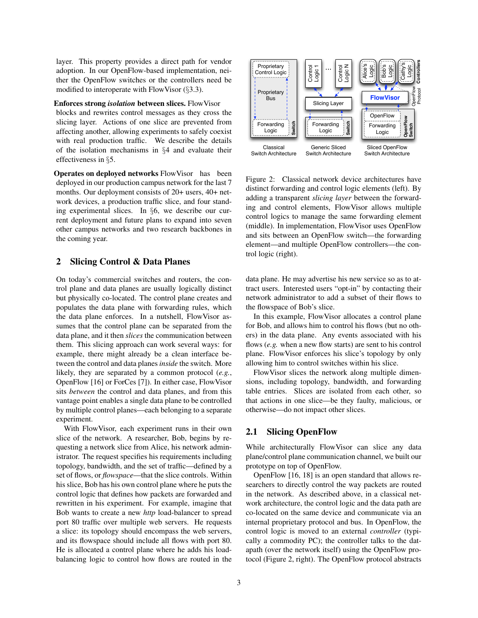layer. This property provides a direct path for vendor adoption. In our OpenFlow-based implementation, neither the OpenFlow switches or the controllers need be modified to interoperate with FlowVisor (§[3.3\)](#page-4-1).

Enforces strong *isolation* between slices. FlowVisor

blocks and rewrites control messages as they cross the slicing layer. Actions of one slice are prevented from affecting another, allowing experiments to safely coexist with real production traffic. We describe the details of the isolation mechanisms in §[4](#page-5-0) and evaluate their effectiveness in §[5.](#page-7-0)

Operates on deployed networks FlowVisor has been deployed in our production campus network for the last 7 months. Our deployment consists of 20+ users, 40+ network devices, a production traffic slice, and four standing experimental slices. In §[6,](#page-10-0) we describe our current deployment and future plans to expand into seven other campus networks and two research backbones in the coming year.

# <span id="page-2-0"></span>2 Slicing Control & Data Planes

On today's commercial switches and routers, the control plane and data planes are usually logically distinct but physically co-located. The control plane creates and populates the data plane with forwarding rules, which the data plane enforces. In a nutshell, FlowVisor assumes that the control plane can be separated from the data plane, and it then *slices* the communication between them. This slicing approach can work several ways: for example, there might already be a clean interface between the control and data planes*inside* the switch. More likely, they are separated by a common protocol (*e.g.*, OpenFlow [\[16\]](#page-13-9) or ForCes [\[7\]](#page-13-10)). In either case, FlowVisor sits *between* the control and data planes, and from this vantage point enables a single data plane to be controlled by multiple control planes—each belonging to a separate experiment.

With FlowVisor, each experiment runs in their own slice of the network. A researcher, Bob, begins by requesting a network slice from Alice, his network administrator. The request specifies his requirements including topology, bandwidth, and the set of traffic—defined by a set of flows, or *flowspace*—that the slice controls. Within his slice, Bob has his own control plane where he puts the control logic that defines how packets are forwarded and rewritten in his experiment. For example, imagine that Bob wants to create a new *http* load-balancer to spread port 80 traffic over multiple web servers. He requests a slice: its topology should encompass the web servers, and its flowspace should include all flows with port 80. He is allocated a control plane where he adds his loadbalancing logic to control how flows are routed in the



<span id="page-2-1"></span>Figure 2: Classical network device architectures have distinct forwarding and control logic elements (left). By adding a transparent *slicing layer* between the forwarding and control elements, FlowVisor allows multiple control logics to manage the same forwarding element (middle). In implementation, FlowVisor uses OpenFlow and sits between an OpenFlow switch—the forwarding element—and multiple OpenFlow controllers—the control logic (right).

data plane. He may advertise his new service so as to attract users. Interested users "opt-in" by contacting their network administrator to add a subset of their flows to the flowspace of Bob's slice.

In this example, FlowVisor allocates a control plane for Bob, and allows him to control his flows (but no others) in the data plane. Any events associated with his flows (*e.g.* when a new flow starts) are sent to his control plane. FlowVisor enforces his slice's topology by only allowing him to control switches within his slice.

FlowVisor slices the network along multiple dimensions, including topology, bandwidth, and forwarding table entries. Slices are isolated from each other, so that actions in one slice—be they faulty, malicious, or otherwise—do not impact other slices.

#### <span id="page-2-2"></span>2.1 Slicing OpenFlow

While architecturally FlowVisor can slice any data plane/control plane communication channel, we built our prototype on top of OpenFlow.

OpenFlow [\[16,](#page-13-9) [18\]](#page-13-11) is an open standard that allows researchers to directly control the way packets are routed in the network. As described above, in a classical network architecture, the control logic and the data path are co-located on the same device and communicate via an internal proprietary protocol and bus. In OpenFlow, the control logic is moved to an external *controller* (typically a commodity PC); the controller talks to the datapath (over the network itself) using the OpenFlow protocol (Figure [2,](#page-2-1) right). The OpenFlow protocol abstracts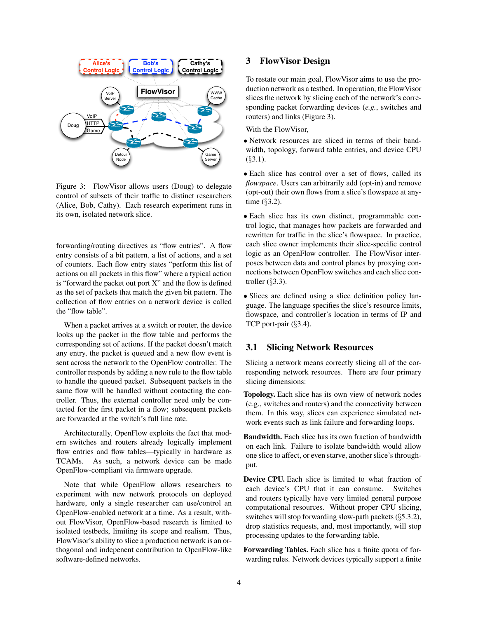

<span id="page-3-1"></span>Figure 3: FlowVisor allows users (Doug) to delegate control of subsets of their traffic to distinct researchers (Alice, Bob, Cathy). Each research experiment runs in its own, isolated network slice.

forwarding/routing directives as "flow entries". A flow entry consists of a bit pattern, a list of actions, and a set of counters. Each flow entry states "perform this list of actions on all packets in this flow" where a typical action is "forward the packet out port  $X$ " and the flow is defined as the set of packets that match the given bit pattern. The collection of flow entries on a network device is called the "flow table".

When a packet arrives at a switch or router, the device looks up the packet in the flow table and performs the corresponding set of actions. If the packet doesn't match any entry, the packet is queued and a new flow event is sent across the network to the OpenFlow controller. The controller responds by adding a new rule to the flow table to handle the queued packet. Subsequent packets in the same flow will be handled without contacting the controller. Thus, the external controller need only be contacted for the first packet in a flow; subsequent packets are forwarded at the switch's full line rate.

Architecturally, OpenFlow exploits the fact that modern switches and routers already logically implement flow entries and flow tables—typically in hardware as TCAMs. As such, a network device can be made OpenFlow-compliant via firmware upgrade.

Note that while OpenFlow allows researchers to experiment with new network protocols on deployed hardware, only a single researcher can use/control an OpenFlow-enabled network at a time. As a result, without FlowVisor, OpenFlow-based research is limited to isolated testbeds, limiting its scope and realism. Thus, FlowVisor's ability to slice a production network is an orthogonal and indepenent contribution to OpenFlow-like software-defined networks.

# <span id="page-3-0"></span>3 FlowVisor Design

To restate our main goal, FlowVisor aims to use the production network as a testbed. In operation, the FlowVisor slices the network by slicing each of the network's corresponding packet forwarding devices (*e.g.*, switches and routers) and links (Figure [3\)](#page-3-1).

With the FlowVisor,

- Network resources are sliced in terms of their bandwidth, topology, forward table entries, and device CPU  $($ §[3.1\)](#page-3-2).
- Each slice has control over a set of flows, called its *flowspace*. Users can arbitrarily add (opt-in) and remove (opt-out) their own flows from a slice's flowspace at anytime (§[3.2\)](#page-4-0).

• Each slice has its own distinct, programmable control logic, that manages how packets are forwarded and rewritten for traffic in the slice's flowspace. In practice, each slice owner implements their slice-specific control logic as an OpenFlow controller. The FlowVisor interposes between data and control planes by proxying connections between OpenFlow switches and each slice controller (§[3.3\)](#page-4-1).

• Slices are defined using a slice definition policy language. The language specifies the slice's resource limits, flowspace, and controller's location in terms of IP and TCP port-pair (§[3.4\)](#page-5-1).

# <span id="page-3-2"></span>3.1 Slicing Network Resources

Slicing a network means correctly slicing all of the corresponding network resources. There are four primary slicing dimensions:

Topology. Each slice has its own view of network nodes (e.g., switches and routers) and the connectivity between them. In this way, slices can experience simulated network events such as link failure and forwarding loops.

Bandwidth. Each slice has its own fraction of bandwidth on each link. Failure to isolate bandwidth would allow one slice to affect, or even starve, another slice's throughput.

Device CPU. Each slice is limited to what fraction of each device's CPU that it can consume. Switches and routers typically have very limited general purpose computational resources. Without proper CPU slicing, switches will stop forwarding slow-path packets (§[5.3.2\)](#page-9-0), drop statistics requests, and, most importantly, will stop processing updates to the forwarding table.

Forwarding Tables. Each slice has a finite quota of forwarding rules. Network devices typically support a finite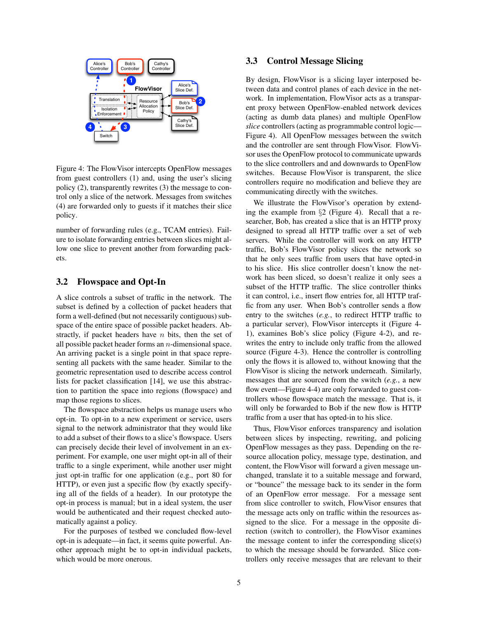

<span id="page-4-2"></span>Figure 4: The FlowVisor intercepts OpenFlow messages from guest controllers (1) and, using the user's slicing policy (2), transparently rewrites (3) the message to control only a slice of the network. Messages from switches (4) are forwarded only to guests if it matches their slice policy.

number of forwarding rules (e.g., TCAM entries). Failure to isolate forwarding entries between slices might allow one slice to prevent another from forwarding packets.

## <span id="page-4-0"></span>3.2 Flowspace and Opt-In

A slice controls a subset of traffic in the network. The subset is defined by a collection of packet headers that form a well-defined (but not necessarily contiguous) subspace of the entire space of possible packet headers. Abstractly, if packet headers have  $n$  bits, then the set of all possible packet header forms an n-dimensional space. An arriving packet is a single point in that space representing all packets with the same header. Similar to the geometric representation used to describe access control lists for packet classification [\[14\]](#page-13-12), we use this abstraction to partition the space into regions (flowspace) and map those regions to slices.

The flowspace abstraction helps us manage users who opt-in. To opt-in to a new experiment or service, users signal to the network administrator that they would like to add a subset of their flows to a slice's flowspace. Users can precisely decide their level of involvement in an experiment. For example, one user might opt-in all of their traffic to a single experiment, while another user might just opt-in traffic for one application (e.g., port 80 for HTTP), or even just a specific flow (by exactly specifying all of the fields of a header). In our prototype the opt-in process is manual; but in a ideal system, the user would be authenticated and their request checked automatically against a policy.

For the purposes of testbed we concluded flow-level opt-in is adequate—in fact, it seems quite powerful. Another approach might be to opt-in individual packets, which would be more onerous.

# <span id="page-4-1"></span>3.3 Control Message Slicing

By design, FlowVisor is a slicing layer interposed between data and control planes of each device in the network. In implementation, FlowVisor acts as a transparent proxy between OpenFlow-enabled network devices (acting as dumb data planes) and multiple OpenFlow *slice* controllers (acting as programmable control logic— Figure [4\)](#page-4-2). All OpenFlow messages between the switch and the controller are sent through FlowVisor. FlowVisor uses the OpenFlow protocol to communicate upwards to the slice controllers and and downwards to OpenFlow switches. Because FlowVisor is transparent, the slice controllers require no modification and believe they are communicating directly with the switches.

We illustrate the FlowVisor's operation by extending the example from §[2](#page-2-0) (Figure [4\)](#page-4-2). Recall that a researcher, Bob, has created a slice that is an HTTP proxy designed to spread all HTTP traffic over a set of web servers. While the controller will work on any HTTP traffic, Bob's FlowVisor policy slices the network so that he only sees traffic from users that have opted-in to his slice. His slice controller doesn't know the network has been sliced, so doesn't realize it only sees a subset of the HTTP traffic. The slice controller thinks it can control, i.e., insert flow entries for, all HTTP traffic from any user. When Bob's controller sends a flow entry to the switches (*e.g.*, to redirect HTTP traffic to a particular server), FlowVisor intercepts it (Figure [4-](#page-4-2) 1), examines Bob's slice policy (Figure [4-](#page-4-2)2), and rewrites the entry to include only traffic from the allowed source (Figure [4-](#page-4-2)3). Hence the controller is controlling only the flows it is allowed to, without knowing that the FlowVisor is slicing the network underneath. Similarly, messages that are sourced from the switch (*e.g.*, a new flow event—Figure [4-](#page-4-2)4) are only forwarded to guest controllers whose flowspace match the message. That is, it will only be forwarded to Bob if the new flow is HTTP traffic from a user that has opted-in to his slice.

Thus, FlowVisor enforces transparency and isolation between slices by inspecting, rewriting, and policing OpenFlow messages as they pass. Depending on the resource allocation policy, message type, destination, and content, the FlowVisor will forward a given message unchanged, translate it to a suitable message and forward, or "bounce" the message back to its sender in the form of an OpenFlow error message. For a message sent from slice controller to switch, FlowVisor ensures that the message acts only on traffic within the resources assigned to the slice. For a message in the opposite direction (switch to controller), the FlowVisor examines the message content to infer the corresponding slice(s) to which the message should be forwarded. Slice controllers only receive messages that are relevant to their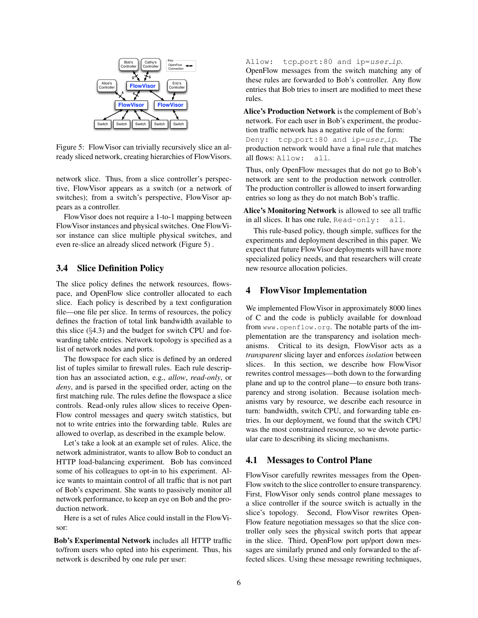

<span id="page-5-2"></span>Figure 5: FlowVisor can trivially recursively slice an already sliced network, creating hierarchies of FlowVisors.

network slice. Thus, from a slice controller's perspective, FlowVisor appears as a switch (or a network of switches); from a switch's perspective, FlowVisor appears as a controller.

FlowVisor does not require a 1-to-1 mapping between FlowVisor instances and physical switches. One FlowVisor instance can slice multiple physical switches, and even re-slice an already sliced network (Figure [5\)](#page-5-2) .

## <span id="page-5-1"></span>3.4 Slice Definition Policy

The slice policy defines the network resources, flowspace, and OpenFlow slice controller allocated to each slice. Each policy is described by a text configuration file—one file per slice. In terms of resources, the policy defines the fraction of total link bandwidth available to this slice  $(\S4.3)$  $(\S4.3)$  and the budget for switch CPU and forwarding table entries. Network topology is specified as a list of network nodes and ports.

The flowspace for each slice is defined by an ordered list of tuples similar to firewall rules. Each rule description has an associated action, e.g., *allow*, *read-only*, or *deny*, and is parsed in the specified order, acting on the first matching rule. The rules define the flowspace a slice controls. Read-only rules allow slices to receive Open-Flow control messages and query switch statistics, but not to write entries into the forwarding table. Rules are allowed to overlap, as described in the example below.

Let's take a look at an example set of rules. Alice, the network administrator, wants to allow Bob to conduct an HTTP load-balancing experiment. Bob has convinced some of his colleagues to opt-in to his experiment. Alice wants to maintain control of all traffic that is not part of Bob's experiment. She wants to passively monitor all network performance, to keep an eye on Bob and the production network.

Here is a set of rules Alice could install in the FlowVisor:

Bob's Experimental Network includes all HTTP traffic to/from users who opted into his experiment. Thus, his network is described by one rule per user:

Allow: tcp\_port:80 and ip=user\_ip.

OpenFlow messages from the switch matching any of these rules are forwarded to Bob's controller. Any flow entries that Bob tries to insert are modified to meet these rules.

Alice's Production Network is the complement of Bob's network. For each user in Bob's experiment, the production traffic network has a negative rule of the form: Deny: tcp\_port:80 and ip=user\_ip. The production network would have a final rule that matches all flows: Allow: all.

Thus, only OpenFlow messages that do not go to Bob's network are sent to the production network controller. The production controller is allowed to insert forwarding entries so long as they do not match Bob's traffic.

Alice's Monitoring Network is allowed to see all traffic in all slices. It has one rule, Read-only: all.

This rule-based policy, though simple, suffices for the experiments and deployment described in this paper. We expect that future FlowVisor deployments will have more specialized policy needs, and that researchers will create new resource allocation policies.

## <span id="page-5-0"></span>4 FlowVisor Implementation

We implemented FlowVisor in approximately 8000 lines of C and the code is publicly available for download from <www.openflow.org>. The notable parts of the implementation are the transparency and isolation mechanisms. Critical to its design, FlowVisor acts as a *transparent* slicing layer and enforces *isolation* between slices. In this section, we describe how FlowVisor rewrites control messages—both down to the forwarding plane and up to the control plane—to ensure both transparency and strong isolation. Because isolation mechanisms vary by resource, we describe each resource in turn: bandwidth, switch CPU, and forwarding table entries. In our deployment, we found that the switch CPU was the most constrained resource, so we devote particular care to describing its slicing mechanisms.

#### 4.1 Messages to Control Plane

FlowVisor carefully rewrites messages from the Open-Flow switch to the slice controller to ensure transparency. First, FlowVisor only sends control plane messages to a slice controller if the source switch is actually in the slice's topology. Second, FlowVisor rewrites Open-Flow feature negotiation messages so that the slice controller only sees the physical switch ports that appear in the slice. Third, OpenFlow port up/port down messages are similarly pruned and only forwarded to the affected slices. Using these message rewriting techniques,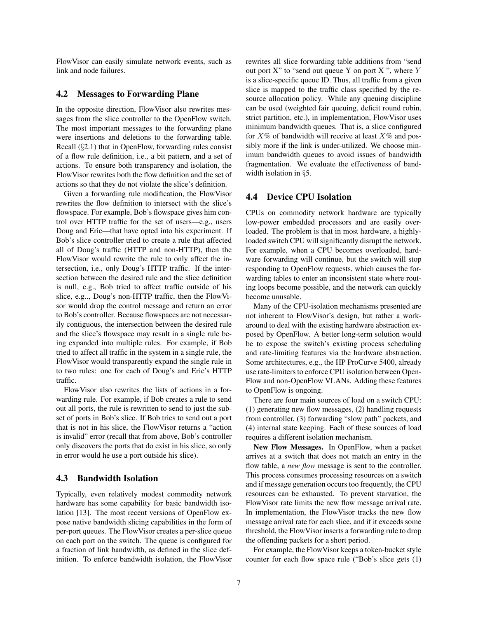FlowVisor can easily simulate network events, such as link and node failures.

## 4.2 Messages to Forwarding Plane

In the opposite direction, FlowVisor also rewrites messages from the slice controller to the OpenFlow switch. The most important messages to the forwarding plane were insertions and deletions to the forwarding table. Recall (§[2.1\)](#page-2-2) that in OpenFlow, forwarding rules consist of a flow rule definition, i.e., a bit pattern, and a set of actions. To ensure both transparency and isolation, the FlowVisor rewrites both the flow definition and the set of actions so that they do not violate the slice's definition.

Given a forwarding rule modification, the FlowVisor rewrites the flow definition to intersect with the slice's flowspace. For example, Bob's flowspace gives him control over HTTP traffic for the set of users—e.g., users Doug and Eric—that have opted into his experiment. If Bob's slice controller tried to create a rule that affected all of Doug's traffic (HTTP and non-HTTP), then the FlowVisor would rewrite the rule to only affect the intersection, i.e., only Doug's HTTP traffic. If the intersection between the desired rule and the slice definition is null, e.g., Bob tried to affect traffic outside of his slice, e.g.., Doug's non-HTTP traffic, then the FlowVisor would drop the control message and return an error to Bob's controller. Because flowspaces are not necessarily contiguous, the intersection between the desired rule and the slice's flowspace may result in a single rule being expanded into multiple rules. For example, if Bob tried to affect all traffic in the system in a single rule, the FlowVisor would transparently expand the single rule in to two rules: one for each of Doug's and Eric's HTTP traffic.

FlowVisor also rewrites the lists of actions in a forwarding rule. For example, if Bob creates a rule to send out all ports, the rule is rewritten to send to just the subset of ports in Bob's slice. If Bob tries to send out a port that is not in his slice, the FlowVisor returns a "action is invalid" error (recall that from above, Bob's controller only discovers the ports that do exist in his slice, so only in error would he use a port outside his slice).

#### <span id="page-6-0"></span>4.3 Bandwidth Isolation

Typically, even relatively modest commodity network hardware has some capability for basic bandwidth isolation [\[13\]](#page-13-13). The most recent versions of OpenFlow expose native bandwidth slicing capabilities in the form of per-port queues. The FlowVisor creates a per-slice queue on each port on the switch. The queue is configured for a fraction of link bandwidth, as defined in the slice definition. To enforce bandwidth isolation, the FlowVisor rewrites all slice forwarding table additions from "send out port  $X$ " to "send out queue Y on port  $X$ ", where Y is a slice-specific queue ID. Thus, all traffic from a given slice is mapped to the traffic class specified by the resource allocation policy. While any queuing discipline can be used (weighted fair queuing, deficit round robin, strict partition, etc.), in implementation, FlowVisor uses minimum bandwidth queues. That is, a slice configured for  $X\%$  of bandwidth will receive at least  $X\%$  and possibly more if the link is under-utilized. We choose minimum bandwidth queues to avoid issues of bandwidth fragmentation. We evaluate the effectiveness of band-width isolation in §[5.](#page-7-0)

# <span id="page-6-1"></span>4.4 Device CPU Isolation

CPUs on commodity network hardware are typically low-power embedded processors and are easily overloaded. The problem is that in most hardware, a highlyloaded switch CPU will significantly disrupt the network. For example, when a CPU becomes overloaded, hardware forwarding will continue, but the switch will stop responding to OpenFlow requests, which causes the forwarding tables to enter an inconsistent state where routing loops become possible, and the network can quickly become unusable.

Many of the CPU-isolation mechanisms presented are not inherent to FlowVisor's design, but rather a workaround to deal with the existing hardware abstraction exposed by OpenFlow. A better long-term solution would be to expose the switch's existing process scheduling and rate-limiting features via the hardware abstraction. Some architectures, e.g., the HP ProCurve 5400, already use rate-limiters to enforce CPU isolation between Open-Flow and non-OpenFlow VLANs. Adding these features to OpenFlow is ongoing.

There are four main sources of load on a switch CPU: (1) generating new flow messages, (2) handling requests from controller, (3) forwarding "slow path" packets, and (4) internal state keeping. Each of these sources of load requires a different isolation mechanism.

New Flow Messages. In OpenFlow, when a packet arrives at a switch that does not match an entry in the flow table, a *new flow* message is sent to the controller. This process consumes processing resources on a switch and if message generation occurs too frequently, the CPU resources can be exhausted. To prevent starvation, the FlowVisor rate limits the new flow message arrival rate. In implementation, the FlowVisor tracks the new flow message arrival rate for each slice, and if it exceeds some threshold, the FlowVisor inserts a forwarding rule to drop the offending packets for a short period.

For example, the FlowVisor keeps a token-bucket style counter for each flow space rule ("Bob's slice gets (1)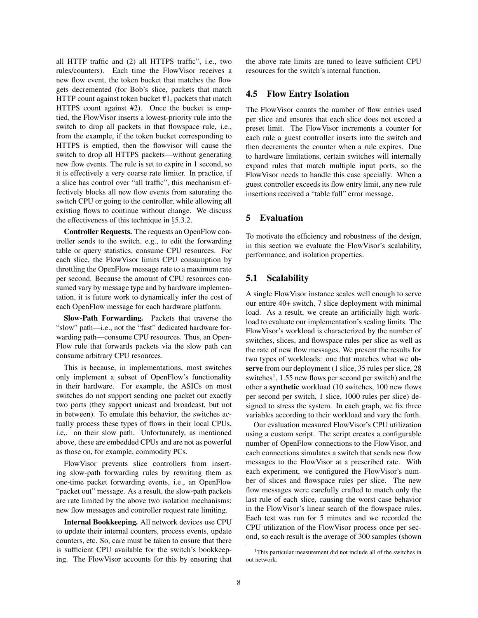all HTTP traffic and (2) all HTTPS traffic", i.e., two rules/counters). Each time the FlowVisor receives a new flow event, the token bucket that matches the flow gets decremented (for Bob's slice, packets that match HTTP count against token bucket #1, packets that match HTTPS count against #2). Once the bucket is emptied, the FlowVisor inserts a lowest-priority rule into the switch to drop all packets in that flowspace rule, i.e., from the example, if the token bucket corresponding to HTTPS is emptied, then the flowvisor will cause the switch to drop all HTTPS packets—without generating new flow events. The rule is set to expire in 1 second, so it is effectively a very coarse rate limiter. In practice, if a slice has control over "all traffic", this mechanism effectively blocks all new flow events from saturating the switch CPU or going to the controller, while allowing all existing flows to continue without change. We discuss the effectiveness of this technique in §[5.3.2.](#page-9-0)

Controller Requests. The requests an OpenFlow controller sends to the switch, e.g., to edit the forwarding table or query statistics, consume CPU resources. For each slice, the FlowVisor limits CPU consumption by throttling the OpenFlow message rate to a maximum rate per second. Because the amount of CPU resources consumed vary by message type and by hardware implementation, it is future work to dynamically infer the cost of each OpenFlow message for each hardware platform.

Slow-Path Forwarding. Packets that traverse the "slow" path—i.e., not the "fast" dedicated hardware forwarding path—consume CPU resources. Thus, an Open-Flow rule that forwards packets via the slow path can consume arbitrary CPU resources.

This is because, in implementations, most switches only implement a subset of OpenFlow's functionality in their hardware. For example, the ASICs on most switches do not support sending one packet out exactly two ports (they support unicast and broadcast, but not in between). To emulate this behavior, the switches actually process these types of flows in their local CPUs, i.e,. on their slow path. Unfortunately, as mentioned above, these are embedded CPUs and are not as powerful as those on, for example, commodity PCs.

FlowVisor prevents slice controllers from inserting slow-path forwarding rules by rewriting them as one-time packet forwarding events, i.e., an OpenFlow "packet out" message. As a result, the slow-path packets are rate limited by the above two isolation mechanisms: new flow messages and controller request rate limiting.

Internal Bookkeeping. All network devices use CPU to update their internal counters, process events, update counters, etc. So, care must be taken to ensure that there is sufficient CPU available for the switch's bookkeeping. The FlowVisor accounts for this by ensuring that the above rate limits are tuned to leave sufficient CPU resources for the switch's internal function.

# 4.5 Flow Entry Isolation

The FlowVisor counts the number of flow entries used per slice and ensures that each slice does not exceed a preset limit. The FlowVisor increments a counter for each rule a guest controller inserts into the switch and then decrements the counter when a rule expires. Due to hardware limitations, certain switches will internally expand rules that match multiple input ports, so the FlowVisor needs to handle this case specially. When a guest controller exceeds its flow entry limit, any new rule insertions received a "table full" error message.

## <span id="page-7-0"></span>5 Evaluation

To motivate the efficiency and robustness of the design, in this section we evaluate the FlowVisor's scalability, performance, and isolation properties.

# <span id="page-7-2"></span>5.1 Scalability

A single FlowVisor instance scales well enough to serve our entire 40+ switch, 7 slice deployment with minimal load. As a result, we create an artificially high workload to evaluate our implementation's scaling limits. The FlowVisor's workload is characterized by the number of switches, slices, and flowspace rules per slice as well as the rate of new flow messages. We present the results for two types of workloads: one that matches what we observe from our deployment (1 slice, 35 rules per slice, 28 switches<sup>[1](#page-7-1)</sup>, 1.55 new flows per second per switch) and the other a synthetic workload (10 switches, 100 new flows per second per switch, 1 slice, 1000 rules per slice) designed to stress the system. In each graph, we fix three variables according to their workload and vary the forth.

Our evaluation measured FlowVisor's CPU utilization using a custom script. The script creates a configurable number of OpenFlow connections to the FlowVisor, and each connections simulates a switch that sends new flow messages to the FlowVisor at a prescribed rate. With each experiment, we configured the FlowVisor's number of slices and flowspace rules per slice. The new flow messages were carefully crafted to match only the last rule of each slice, causing the worst case behavior in the FlowVisor's linear search of the flowspace rules. Each test was run for 5 minutes and we recorded the CPU utilization of the FlowVisor process once per second, so each result is the average of 300 samples (shown

<span id="page-7-1"></span><sup>1</sup>This particular measurement did not include all of the switches in out network.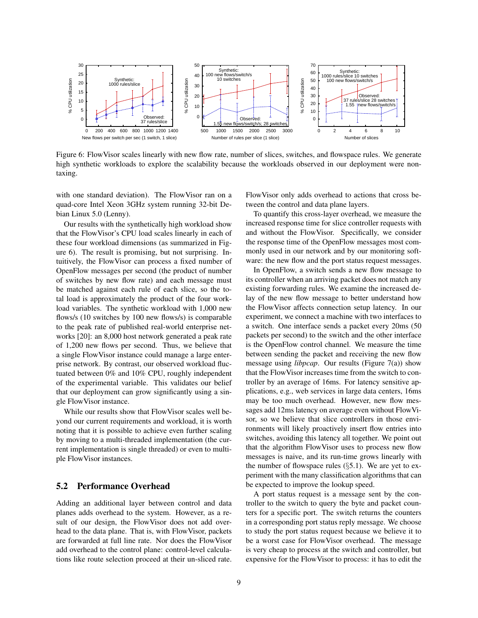

<span id="page-8-0"></span>Figure 6: FlowVisor scales linearly with new flow rate, number of slices, switches, and flowspace rules. We generate high synthetic workloads to explore the scalability because the workloads observed in our deployment were nontaxing.

with one standard deviation). The FlowVisor ran on a quad-core Intel Xeon 3GHz system running 32-bit Debian Linux 5.0 (Lenny).

Our results with the synthetically high workload show that the FlowVisor's CPU load scales linearly in each of these four workload dimensions (as summarized in Figure [6\)](#page-8-0). The result is promising, but not surprising. Intuitively, the FlowVisor can process a fixed number of OpenFlow messages per second (the product of number of switches by new flow rate) and each message must be matched against each rule of each slice, so the total load is approximately the product of the four workload variables. The synthetic workload with 1,000 new flows/s (10 switches by 100 new flows/s) is comparable to the peak rate of published real-world enterprise networks [\[20\]](#page-13-14): an 8,000 host network generated a peak rate of 1,200 new flows per second. Thus, we believe that a single FlowVisor instance could manage a large enterprise network. By contrast, our observed workload fluctuated between 0% and 10% CPU, roughly independent of the experimental variable. This validates our belief that our deployment can grow significantly using a single FlowVisor instance.

While our results show that FlowVisor scales well beyond our current requirements and workload, it is worth noting that it is possible to achieve even further scaling by moving to a multi-threaded implementation (the current implementation is single threaded) or even to multiple FlowVisor instances.

# 5.2 Performance Overhead

Adding an additional layer between control and data planes adds overhead to the system. However, as a result of our design, the FlowVisor does not add overhead to the data plane. That is, with FlowVisor, packets are forwarded at full line rate. Nor does the FlowVisor add overhead to the control plane: control-level calculations like route selection proceed at their un-sliced rate. FlowVisor only adds overhead to actions that cross between the control and data plane layers.

To quantify this cross-layer overhead, we measure the increased response time for slice controller requests with and without the FlowVisor. Specifically, we consider the response time of the OpenFlow messages most commonly used in our network and by our monitoring software: the new flow and the port status request messages.

In OpenFlow, a switch sends a new flow message to its controller when an arriving packet does not match any existing forwarding rules. We examine the increased delay of the new flow message to better understand how the FlowVisor affects connection setup latency. In our experiment, we connect a machine with two interfaces to a switch. One interface sends a packet every 20ms (50 packets per second) to the switch and the other interface is the OpenFlow control channel. We measure the time between sending the packet and receiving the new flow message using *libpcap*. Our results (Figure [7\(a\)\)](#page-9-1) show that the FlowVisor increases time from the switch to controller by an average of 16ms. For latency sensitive applications, e.g., web services in large data centers, 16ms may be too much overhead. However, new flow messages add 12ms latency on average even without FlowVisor, so we believe that slice controllers in those environments will likely proactively insert flow entries into switches, avoiding this latency all together. We point out that the algorithm FlowVisor uses to process new flow messages is naive, and its run-time grows linearly with the number of flowspace rules  $(\S 5.1)$  $(\S 5.1)$ . We are yet to experiment with the many classification algorithms that can be expected to improve the lookup speed.

A port status request is a message sent by the controller to the switch to query the byte and packet counters for a specific port. The switch returns the counters in a corresponding port status reply message. We choose to study the port status request because we believe it to be a worst case for FlowVisor overhead. The message is very cheap to process at the switch and controller, but expensive for the FlowVisor to process: it has to edit the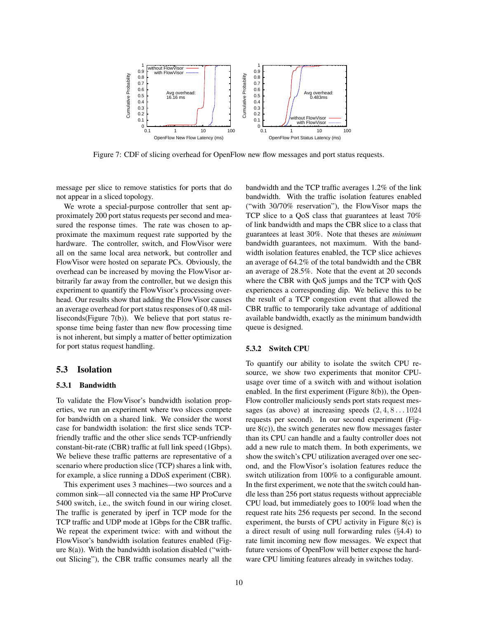<span id="page-9-1"></span>

Figure 7: CDF of slicing overhead for OpenFlow new flow messages and port status requests.

message per slice to remove statistics for ports that do not appear in a sliced topology.

We wrote a special-purpose controller that sent approximately 200 port status requests per second and measured the response times. The rate was chosen to approximate the maximum request rate supported by the hardware. The controller, switch, and FlowVisor were all on the same local area network, but controller and FlowVisor were hosted on separate PCs. Obviously, the overhead can be increased by moving the FlowVisor arbitrarily far away from the controller, but we design this experiment to quantify the FlowVisor's processing overhead. Our results show that adding the FlowVisor causes an average overhead for port status responses of 0.48 milliseconds(Figure [7\(b\)\)](#page-9-2). We believe that port status response time being faster than new flow processing time is not inherent, but simply a matter of better optimization for port status request handling.

## 5.3 Isolation

#### 5.3.1 Bandwidth

To validate the FlowVisor's bandwidth isolation properties, we run an experiment where two slices compete for bandwidth on a shared link. We consider the worst case for bandwidth isolation: the first slice sends TCPfriendly traffic and the other slice sends TCP-unfriendly constant-bit-rate (CBR) traffic at full link speed (1Gbps). We believe these traffic patterns are representative of a scenario where production slice (TCP) shares a link with, for example, a slice running a DDoS experiment (CBR).

This experiment uses 3 machines—two sources and a common sink—all connected via the same HP ProCurve 5400 switch, i.e., the switch found in our wiring closet. The traffic is generated by iperf in TCP mode for the TCP traffic and UDP mode at 1Gbps for the CBR traffic. We repeat the experiment twice: with and without the FlowVisor's bandwidth isolation features enabled (Figure  $8(a)$ ). With the bandwidth isolation disabled ("without Slicing"), the CBR traffic consumes nearly all the <span id="page-9-2"></span>bandwidth and the TCP traffic averages 1.2% of the link bandwidth. With the traffic isolation features enabled ("with 30/70% reservation"), the FlowVisor maps the TCP slice to a QoS class that guarantees at least 70% of link bandwidth and maps the CBR slice to a class that guarantees at least 30%. Note that theses are *minimum* bandwidth guarantees, not maximum. With the bandwidth isolation features enabled, the TCP slice achieves an average of 64.2% of the total bandwidth and the CBR an average of 28.5%. Note that the event at 20 seconds where the CBR with QoS jumps and the TCP with QoS experiences a corresponding dip. We believe this to be the result of a TCP congestion event that allowed the CBR traffic to temporarily take advantage of additional available bandwidth, exactly as the minimum bandwidth queue is designed.

#### <span id="page-9-0"></span>5.3.2 Switch CPU

To quantify our ability to isolate the switch CPU resource, we show two experiments that monitor CPUusage over time of a switch with and without isolation enabled. In the first experiment (Figure [8\(b\)\)](#page-10-2), the Open-Flow controller maliciously sends port stats request messages (as above) at increasing speeds  $(2, 4, 8...1024)$ requests per second). In our second experiment (Figure [8\(c\)\)](#page-10-3), the switch generates new flow messages faster than its CPU can handle and a faulty controller does not add a new rule to match them. In both experiments, we show the switch's CPU utilization averaged over one second, and the FlowVisor's isolation features reduce the switch utilization from 100% to a configurable amount. In the first experiment, we note that the switch could handle less than 256 port status requests without appreciable CPU load, but immediately goes to 100% load when the request rate hits 256 requests per second. In the second experiment, the bursts of CPU activity in Figure [8\(c\)](#page-10-3) is a direct result of using null forwarding rules (§[4.4\)](#page-6-1) to rate limit incoming new flow messages. We expect that future versions of OpenFlow will better expose the hardware CPU limiting features already in switches today.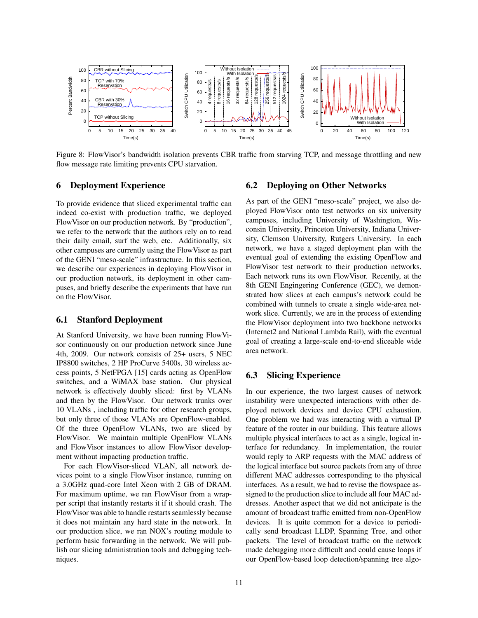<span id="page-10-1"></span>

Figure 8: FlowVisor's bandwidth isolation prevents CBR traffic from starving TCP, and message throttling and new flow message rate limiting prevents CPU starvation.

#### <span id="page-10-0"></span>6 Deployment Experience

To provide evidence that sliced experimental traffic can indeed co-exist with production traffic, we deployed FlowVisor on our production network. By "production", we refer to the network that the authors rely on to read their daily email, surf the web, etc. Additionally, six other campuses are currently using the FlowVisor as part of the GENI "meso-scale" infrastructure. In this section, we describe our experiences in deploying FlowVisor in our production network, its deployment in other campuses, and briefly describe the experiments that have run on the FlowVisor.

#### 6.1 Stanford Deployment

At Stanford University, we have been running FlowVisor continuously on our production network since June 4th, 2009. Our network consists of 25+ users, 5 NEC IP8800 switches, 2 HP ProCurve 5400s, 30 wireless access points, 5 NetFPGA [\[15\]](#page-13-15) cards acting as OpenFlow switches, and a WiMAX base station. Our physical network is effectively doubly sliced: first by VLANs and then by the FlowVisor. Our network trunks over 10 VLANs , including traffic for other research groups, but only three of those VLANs are OpenFlow-enabled. Of the three OpenFlow VLANs, two are sliced by FlowVisor. We maintain multiple OpenFlow VLANs and FlowVisor instances to allow FlowVisor development without impacting production traffic.

For each FlowVisor-sliced VLAN, all network devices point to a single FlowVisor instance, running on a 3.0GHz quad-core Intel Xeon with 2 GB of DRAM. For maximum uptime, we ran FlowVisor from a wrapper script that instantly restarts it if it should crash. The FlowVisor was able to handle restarts seamlessly because it does not maintain any hard state in the network. In our production slice, we ran NOX's routing module to perform basic forwarding in the network. We will publish our slicing administration tools and debugging techniques.

#### <span id="page-10-3"></span><span id="page-10-2"></span>6.2 Deploying on Other Networks

As part of the GENI "meso-scale" project, we also deployed FlowVisor onto test networks on six university campuses, including University of Washington, Wisconsin University, Princeton University, Indiana University, Clemson University, Rutgers University. In each network, we have a staged deployment plan with the eventual goal of extending the existing OpenFlow and FlowVisor test network to their production networks. Each network runs its own FlowVisor. Recently, at the 8th GENI Engingering Conference (GEC), we demonstrated how slices at each campus's network could be combined with tunnels to create a single wide-area network slice. Currently, we are in the process of extending the FlowVisor deployment into two backbone networks (Internet2 and National Lambda Rail), with the eventual goal of creating a large-scale end-to-end sliceable wide area network.

# 6.3 Slicing Experience

In our experience, the two largest causes of network instability were unexpected interactions with other deployed network devices and device CPU exhaustion. One problem we had was interacting with a virtual IP feature of the router in our building. This feature allows multiple physical interfaces to act as a single, logical interface for redundancy. In implementation, the router would reply to ARP requests with the MAC address of the logical interface but source packets from any of three different MAC addresses corresponding to the physical interfaces. As a result, we had to revise the flowspace assigned to the production slice to include all four MAC addresses. Another aspect that we did not anticipate is the amount of broadcast traffic emitted from non-OpenFlow devices. It is quite common for a device to periodically send broadcast LLDP, Spanning Tree, and other packets. The level of broadcast traffic on the network made debugging more difficult and could cause loops if our OpenFlow-based loop detection/spanning tree algo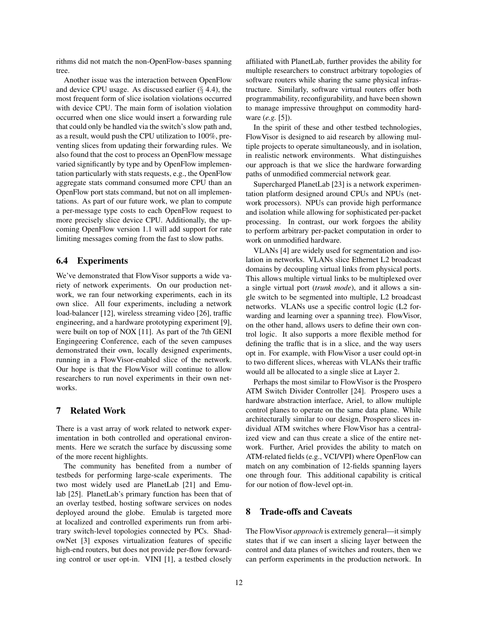rithms did not match the non-OpenFlow-bases spanning tree.

Another issue was the interaction between OpenFlow and device CPU usage. As discussed earlier  $(\S$  [4.4\)](#page-6-1), the most frequent form of slice isolation violations occurred with device CPU. The main form of isolation violation occurred when one slice would insert a forwarding rule that could only be handled via the switch's slow path and, as a result, would push the CPU utilization to 100%, preventing slices from updating their forwarding rules. We also found that the cost to process an OpenFlow message varied significantly by type and by OpenFlow implementation particularly with stats requests, e.g., the OpenFlow aggregate stats command consumed more CPU than an OpenFlow port stats command, but not on all implementations. As part of our future work, we plan to compute a per-message type costs to each OpenFlow request to more precisely slice device CPU. Additionally, the upcoming OpenFlow version 1.1 will add support for rate limiting messages coming from the fast to slow paths.

# 6.4 Experiments

We've demonstrated that FlowVisor supports a wide variety of network experiments. On our production network, we ran four networking experiments, each in its own slice. All four experiments, including a network load-balancer [\[12\]](#page-13-16), wireless streaming video [\[26\]](#page-13-17), traffic engineering, and a hardware prototyping experiment [\[9\]](#page-13-18), were built on top of NOX [\[11\]](#page-13-19). As part of the 7th GENI Engingeering Conference, each of the seven campuses demonstrated their own, locally designed experiments, running in a FlowVisor-enabled slice of the network. Our hope is that the FlowVisor will continue to allow researchers to run novel experiments in their own networks.

#### 7 Related Work

There is a vast array of work related to network experimentation in both controlled and operational environments. Here we scratch the surface by discussing some of the more recent highlights.

The community has benefited from a number of testbeds for performing large-scale experiments. The two most widely used are PlanetLab [\[21\]](#page-13-20) and Emulab [\[25\]](#page-13-2). PlanetLab's primary function has been that of an overlay testbed, hosting software services on nodes deployed around the globe. Emulab is targeted more at localized and controlled experiments run from arbitrary switch-level topologies connected by PCs. ShadowNet [\[3\]](#page-13-5) exposes virtualization features of specific high-end routers, but does not provide per-flow forwarding control or user opt-in. VINI [\[1\]](#page-12-0), a testbed closely affiliated with PlanetLab, further provides the ability for multiple researchers to construct arbitrary topologies of software routers while sharing the same physical infrastructure. Similarly, software virtual routers offer both programmability, reconfigurability, and have been shown to manage impressive throughput on commodity hardware (*e.g.* [\[5\]](#page-13-21)).

In the spirit of these and other testbed technologies, FlowVisor is designed to aid research by allowing multiple projects to operate simultaneously, and in isolation, in realistic network environments. What distinguishes our approach is that we slice the hardware forwarding paths of unmodified commercial network gear.

Supercharged PlanetLab [\[23\]](#page-13-22) is a network experimentation platform designed around CPUs and NPUs (network processors). NPUs can provide high performance and isolation while allowing for sophisticated per-packet processing. In contrast, our work forgoes the ability to perform arbitrary per-packet computation in order to work on unmodified hardware.

VLANs [\[4\]](#page-13-23) are widely used for segmentation and isolation in networks. VLANs slice Ethernet L2 broadcast domains by decoupling virtual links from physical ports. This allows multiple virtual links to be multiplexed over a single virtual port (*trunk mode*), and it allows a single switch to be segmented into multiple, L2 broadcast networks. VLANs use a specific control logic (L2 forwarding and learning over a spanning tree). FlowVisor, on the other hand, allows users to define their own control logic. It also supports a more flexible method for defining the traffic that is in a slice, and the way users opt in. For example, with FlowVisor a user could opt-in to two different slices, whereas with VLANs their traffic would all be allocated to a single slice at Layer 2.

Perhaps the most similar to FlowVisor is the Prospero ATM Switch Divider Controller [\[24\]](#page-13-24). Prospero uses a hardware abstraction interface, Ariel, to allow multiple control planes to operate on the same data plane. While architecturally similar to our design, Prospero slices individual ATM switches where FlowVisor has a centralized view and can thus create a slice of the entire network. Further, Ariel provides the ability to match on ATM-related fields (e.g., VCI/VPI) where OpenFlow can match on any combination of 12-fields spanning layers one through four. This additional capability is critical for our notion of flow-level opt-in.

### 8 Trade-offs and Caveats

The FlowVisor *approach* is extremely general—it simply states that if we can insert a slicing layer between the control and data planes of switches and routers, then we can perform experiments in the production network. In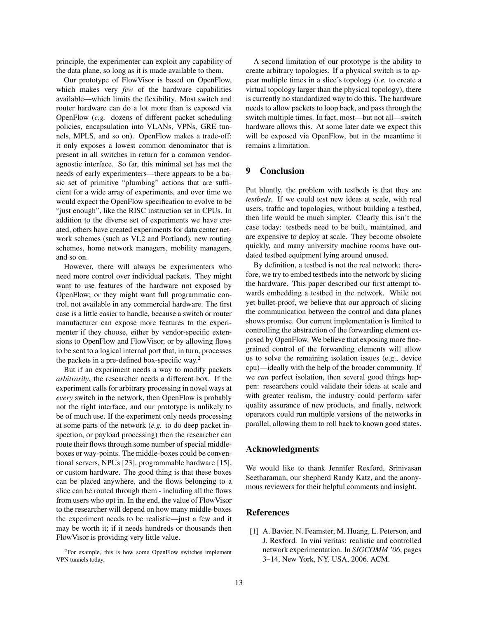principle, the experimenter can exploit any capability of the data plane, so long as it is made available to them.

Our prototype of FlowVisor is based on OpenFlow, which makes very *few* of the hardware capabilities available—which limits the flexibility. Most switch and router hardware can do a lot more than is exposed via OpenFlow (*e.g.* dozens of different packet scheduling policies, encapsulation into VLANs, VPNs, GRE tunnels, MPLS, and so on). OpenFlow makes a trade-off: it only exposes a lowest common denominator that is present in all switches in return for a common vendoragnostic interface. So far, this minimal set has met the needs of early experimenters—there appears to be a basic set of primitive "plumbing" actions that are sufficient for a wide array of experiments, and over time we would expect the OpenFlow specification to evolve to be "just enough", like the RISC instruction set in CPUs. In addition to the diverse set of experiments we have created, others have created experiments for data center network schemes (such as VL2 and Portland), new routing schemes, home network managers, mobility managers, and so on.

However, there will always be experimenters who need more control over individual packets. They might want to use features of the hardware not exposed by OpenFlow; or they might want full programmatic control, not available in any commercial hardware. The first case is a little easier to handle, because a switch or router manufacturer can expose more features to the experimenter if they choose, either by vendor-specific extensions to OpenFlow and FlowVisor, or by allowing flows to be sent to a logical internal port that, in turn, processes the packets in a pre-defined box-specific way.[2](#page-12-1)

But if an experiment needs a way to modify packets *arbitrarily*, the researcher needs a different box. If the experiment calls for arbitrary processing in novel ways at *every* switch in the network, then OpenFlow is probably not the right interface, and our prototype is unlikely to be of much use. If the experiment only needs processing at some parts of the network (*e.g.* to do deep packet inspection, or payload processing) then the researcher can route their flows through some number of special middleboxes or way-points. The middle-boxes could be conventional servers, NPUs [\[23\]](#page-13-22), programmable hardware [\[15\]](#page-13-15), or custom hardware. The good thing is that these boxes can be placed anywhere, and the flows belonging to a slice can be routed through them - including all the flows from users who opt in. In the end, the value of FlowVisor to the researcher will depend on how many middle-boxes the experiment needs to be realistic—just a few and it may be worth it; if it needs hundreds or thousands then FlowVisor is providing very little value.

A second limitation of our prototype is the ability to create arbitrary topologies. If a physical switch is to appear multiple times in a slice's topology (*i.e.* to create a virtual topology larger than the physical topology), there is currently no standardized way to do this. The hardware needs to allow packets to loop back, and pass through the switch multiple times. In fact, most—but not all—switch hardware allows this. At some later date we expect this will be exposed via OpenFlow, but in the meantime it remains a limitation.

# 9 Conclusion

Put bluntly, the problem with testbeds is that they are *testbeds*. If we could test new ideas at scale, with real users, traffic and topologies, without building a testbed, then life would be much simpler. Clearly this isn't the case today: testbeds need to be built, maintained, and are expensive to deploy at scale. They become obsolete quickly, and many university machine rooms have outdated testbed equipment lying around unused.

By definition, a testbed is not the real network: therefore, we try to embed testbeds into the network by slicing the hardware. This paper described our first attempt towards embedding a testbed in the network. While not yet bullet-proof, we believe that our approach of slicing the communication between the control and data planes shows promise. Our current implementation is limited to controlling the abstraction of the forwarding element exposed by OpenFlow. We believe that exposing more finegrained control of the forwarding elements will allow us to solve the remaining isolation issues (e.g., device cpu)—ideally with the help of the broader community. If we *can* perfect isolation, then several good things happen: researchers could validate their ideas at scale and with greater realism, the industry could perform safer quality assurance of new products, and finally, network operators could run multiple versions of the networks in parallel, allowing them to roll back to known good states.

#### Acknowledgments

We would like to thank Jennifer Rexford, Srinivasan Seetharaman, our shepherd Randy Katz, and the anonymous reviewers for their helpful comments and insight.

### References

<span id="page-12-0"></span>[1] A. Bavier, N. Feamster, M. Huang, L. Peterson, and J. Rexford. In vini veritas: realistic and controlled network experimentation. In *SIGCOMM '06*, pages 3–14, New York, NY, USA, 2006. ACM.

<span id="page-12-1"></span><sup>2</sup>For example, this is how some OpenFlow switches implement VPN tunnels today.